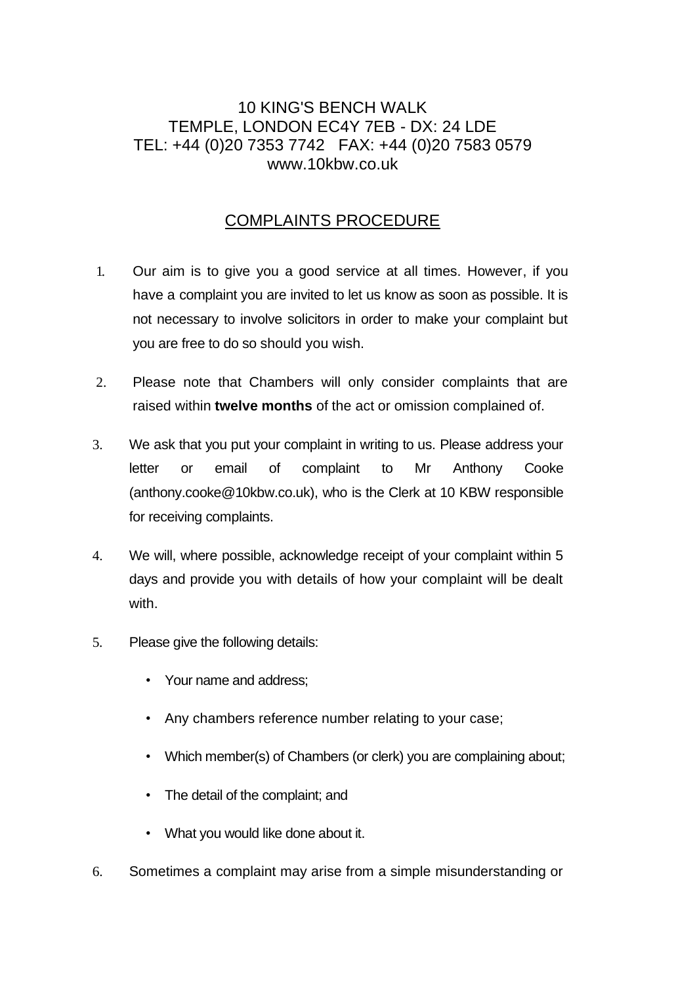# 10 KING'S BENCH WALK TEMPLE, LONDON EC4Y 7EB - DX: 24 LDE TEL: +44 (0)20 7353 7742 FAX: +44 (0)20 7583 0579 www.10kbw.co.uk

# COMPLAINTS PROCEDURE

- 1. Our aim is to give you a good service at all times. However, if you have a complaint you are invited to let us know as soon as possible. It is not necessary to involve solicitors in order to make your complaint but you are free to do so should you wish.
- 2. Please note that Chambers will only consider complaints that are raised within **twelve months** of the act or omission complained of.
- 3. We ask that you put your complaint in writing to us. Please address your letter or email of complaint to Mr Anthony Cooke (anthony.cooke@10kbw.co.uk), who is the Clerk at 10 KBW responsible for receiving complaints.
- 4. We will, where possible, acknowledge receipt of your complaint within 5 days and provide you with details of how your complaint will be dealt with.
- 5. Please give the following details:
	- Your name and address;
	- Any chambers reference number relating to your case;
	- Which member(s) of Chambers (or clerk) you are complaining about;
	- The detail of the complaint; and
	- What you would like done about it.
- 6. Sometimes a complaint may arise from a simple misunderstanding or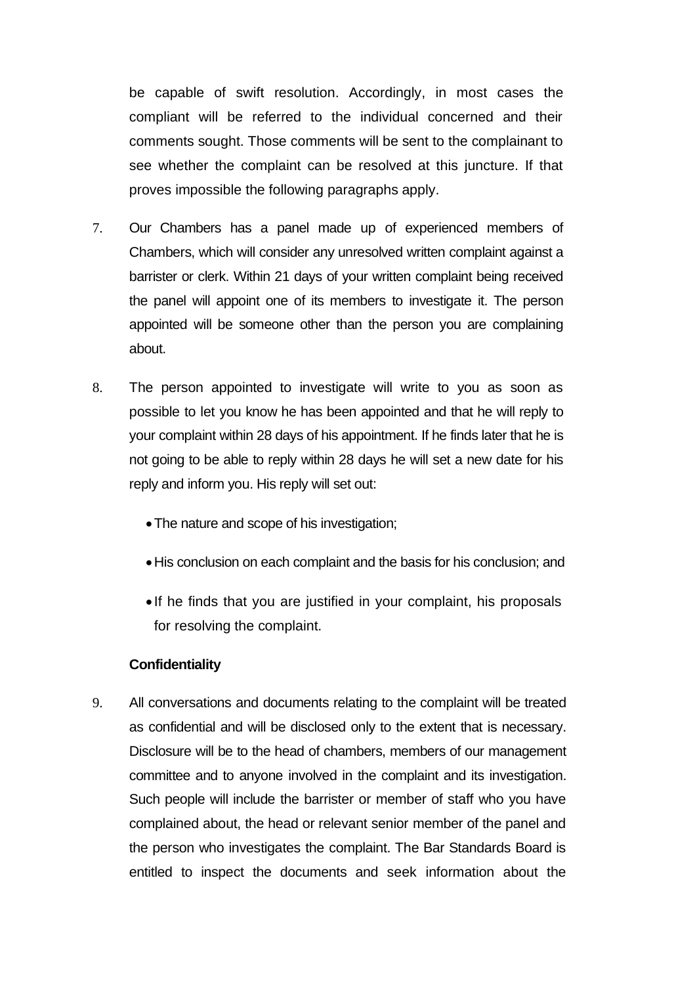be capable of swift resolution. Accordingly, in most cases the compliant will be referred to the individual concerned and their comments sought. Those comments will be sent to the complainant to see whether the complaint can be resolved at this juncture. If that proves impossible the following paragraphs apply.

- 7. Our Chambers has a panel made up of experienced members of Chambers, which will consider any unresolved written complaint against a barrister or clerk. Within 21 days of your written complaint being received the panel will appoint one of its members to investigate it. The person appointed will be someone other than the person you are complaining about.
- 8. The person appointed to investigate will write to you as soon as possible to let you know he has been appointed and that he will reply to your complaint within 28 days of his appointment. If he finds later that he is not going to be able to reply within 28 days he will set a new date for his reply and inform you. His reply will set out:
	- •The nature and scope of his investigation;
	- •His conclusion on each complaint and the basis for his conclusion; and
	- If he finds that you are justified in your complaint, his proposals for resolving the complaint.

#### **Confidentiality**

9. All conversations and documents relating to the complaint will be treated as confidential and will be disclosed only to the extent that is necessary. Disclosure will be to the head of chambers, members of our management committee and to anyone involved in the complaint and its investigation. Such people will include the barrister or member of staff who you have complained about, the head or relevant senior member of the panel and the person who investigates the complaint. The Bar Standards Board is entitled to inspect the documents and seek information about the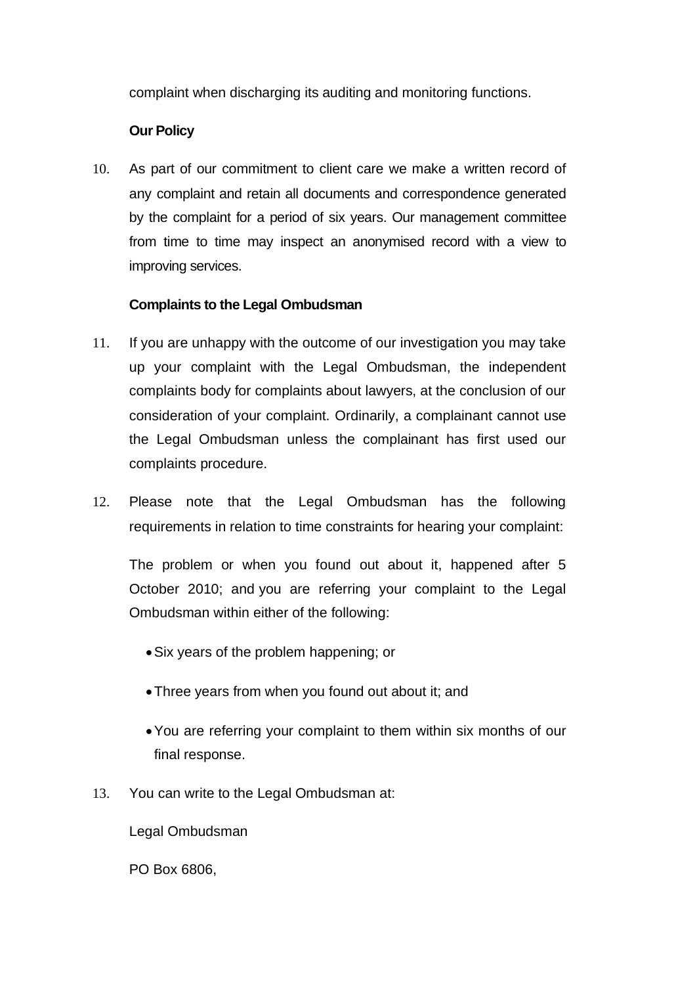complaint when discharging its auditing and monitoring functions.

### **Our Policy**

10. As part of our commitment to client care we make a written record of any complaint and retain all documents and correspondence generated by the complaint for a period of six years. Our management committee from time to time may inspect an anonymised record with a view to improving services.

## **Complaints to the Legal Ombudsman**

- 11. If you are unhappy with the outcome of our investigation you may take up your complaint with the Legal Ombudsman, the independent complaints body for complaints about lawyers, at the conclusion of our consideration of your complaint. Ordinarily, a complainant cannot use the Legal Ombudsman unless the complainant has first used our complaints procedure.
- 12. Please note that the Legal Ombudsman has the following requirements in relation to time constraints for hearing your complaint:

The problem or when you found out about it, happened after 5 October 2010; and you are referring your complaint to the Legal Ombudsman within either of the following:

- •Six years of the problem happening; or
- •Three years from when you found out about it; and
- •You are referring your complaint to them within six months of our final response.
- 13. You can write to the Legal Ombudsman at:

Legal Ombudsman

PO Box 6806,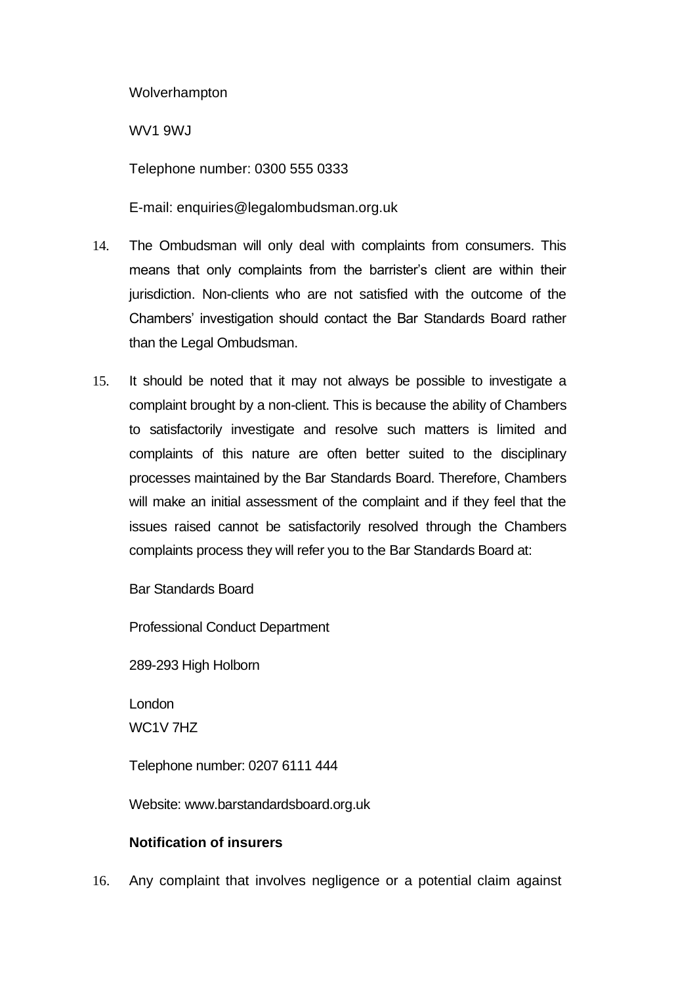Wolverhampton

WV1 9WJ

Telephone number: 0300 555 0333

E-mail: enquiries@legalombudsman.org.uk

- 14. The Ombudsman will only deal with complaints from consumers. This means that only complaints from the barrister's client are within their jurisdiction. Non-clients who are not satisfied with the outcome of the Chambers' investigation should contact the Bar Standards Board rather than the Legal Ombudsman.
- 15. It should be noted that it may not always be possible to investigate a complaint brought by a non-client. This is because the ability of Chambers to satisfactorily investigate and resolve such matters is limited and complaints of this nature are often better suited to the disciplinary processes maintained by the Bar Standards Board. Therefore, Chambers will make an initial assessment of the complaint and if they feel that the issues raised cannot be satisfactorily resolved through the Chambers complaints process they will refer you to the Bar Standards Board at:

Bar Standards Board

Professional Conduct Department

289-293 High Holborn

London WC1V 7HZ

Telephone number: 0207 6111 444

Website: www.barstandardsboard.org.uk

### **Notification of insurers**

16. Any complaint that involves negligence or a potential claim against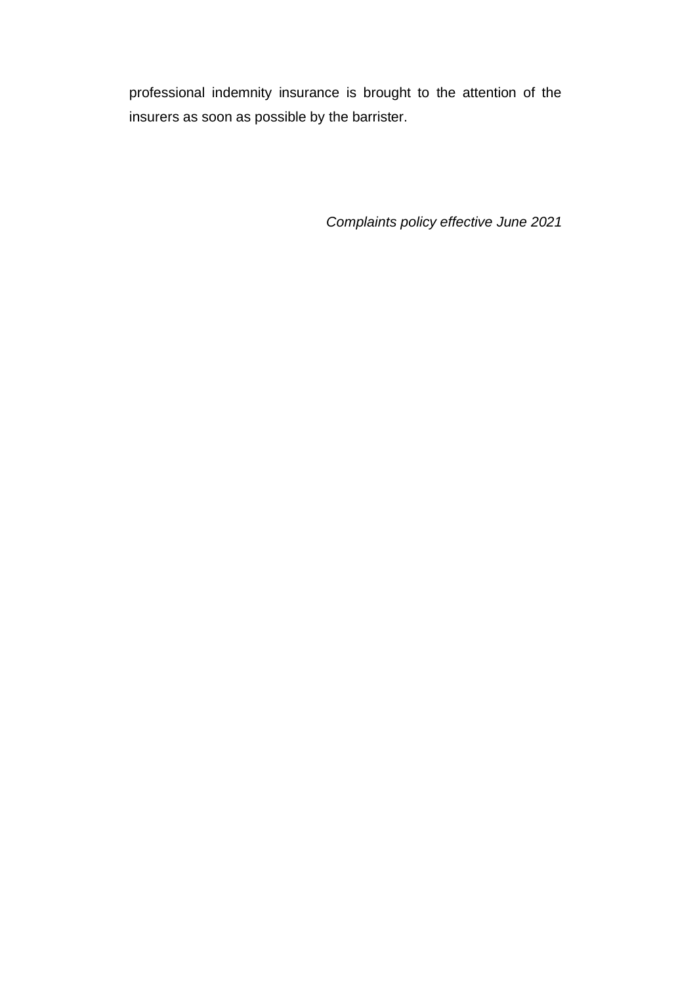professional indemnity insurance is brought to the attention of the insurers as soon as possible by the barrister.

*Complaints policy effective June 2021*